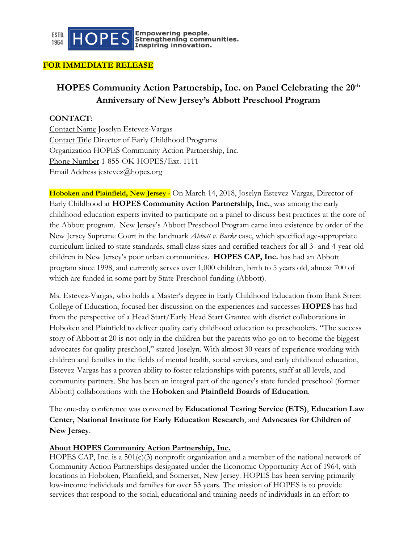

 $\boxed{\mathsf{HOPES}}$  strengthening communities.

## **FOR IMMEDIATE RELEASE**

## **HOPES Community Action Partnership, Inc. on Panel Celebrating the 20th Anniversary of New Jersey's Abbott Preschool Program**

## **CONTACT:**

Contact Name Joselyn Estevez-Vargas Contact Title Director of Early Childhood Programs Organization HOPES Community Action Partnership, Inc. Phone Number 1-855-OK-HOPES/Ext. 1111 Email Address jestevez@hopes.org

**Hoboken and Plainfield, New Jersey -** On March 14, 2018, Joselyn Estevez-Vargas, Director of Early Childhood at **HOPES Community Action Partnership, Inc.**, was among the early childhood education experts invited to participate on a panel to discuss best practices at the core of the Abbott program. New Jersey's Abbott Preschool Program came into existence by order of the New Jersey Supreme Court in the landmark *Abbott v. Burke* case, which specified age-appropriate curriculum linked to state standards, small class sizes and certified teachers for all 3- and 4-year-old children in New Jersey's poor urban communities. **HOPES CAP, Inc.** has had an Abbott program since 1998, and currently serves over 1,000 children, birth to 5 years old, almost 700 of which are funded in some part by State Preschool funding (Abbott).

Ms. Estevez-Vargas, who holds a Master's degree in Early Childhood Education from Bank Street College of Education, focused her discussion on the experiences and successes **HOPES** has had from the perspective of a Head Start/Early Head Start Grantee with district collaborations in Hoboken and Plainfield to deliver quality early childhood education to preschoolers. "The success story of Abbott at 20 is not only in the children but the parents who go on to become the biggest advocates for quality preschool," stated Joselyn. With almost 30 years of experience working with children and families in the fields of mental health, social services, and early childhood education, Estevez-Vargas has a proven ability to foster relationships with parents, staff at all levels, and community partners. She has been an integral part of the agency's state funded preschool (former Abbott) collaborations with the **Hoboken** and **Plainfield Boards of Education**.

The one-day conference was convened by **Educational Testing Service (ETS)**, **Education Law Center, National Institute for Early Education Research**, and **Advocates for Children of New Jersey**.

## **About HOPES Community Action Partnership, Inc.**

HOPES CAP, Inc. is a  $501(c)(3)$  nonprofit organization and a member of the national network of Community Action Partnerships designated under the Economic Opportunity Act of 1964, with locations in Hoboken, Plainfield, and Somerset, New Jersey. HOPES has been serving primarily low-income individuals and families for over 53 years. The mission of HOPES is to provide services that respond to the social, educational and training needs of individuals in an effort to